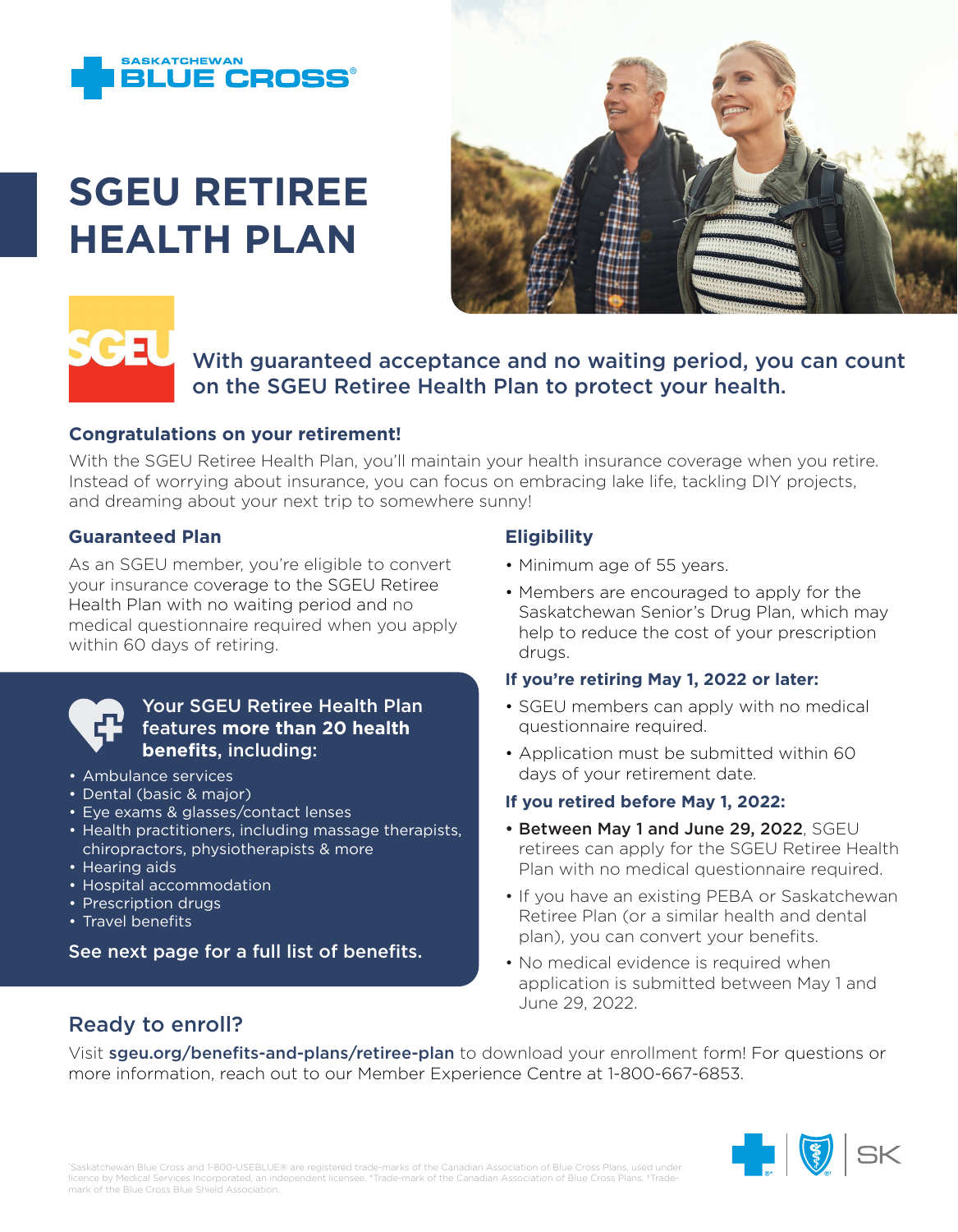

# **SGEU RETIREE HEALTH PLAN**





## With guaranteed acceptance and no waiting period, you can count on the SGEU Retiree Health Plan to protect your health.

#### **Congratulations on your retirement!**

With the SGEU Retiree Health Plan, you'll maintain your health insurance coverage when you retire. Instead of worrying about insurance, you can focus on embracing lake life, tackling DIY projects, and dreaming about your next trip to somewhere sunny!

#### **Guaranteed Plan**

As an SGEU member, you're eligible to convert your insurance coverage to the SGEU Retiree Health Plan with no waiting period and no medical questionnaire required when you apply within 60 days of retiring.



#### Your SGEU Retiree Health Plan features **more than 20 health benefits**, including:

- Ambulance services
- Dental (basic & major)
- Eye exams & glasses/contact lenses
- Health practitioners, including massage therapists, chiropractors, physiotherapists & more
- Hearing aids
- Hospital accommodation
- Prescription drugs
- Travel benefits

See next page for a full list of benefits.

#### **Eligibility**

- Minimum age of 55 years.
- Members are encouraged to apply for the Saskatchewan Senior's Drug Plan, which may help to reduce the cost of your prescription drugs.

#### **If you're retiring May 1, 2022 or later:**

- SGEU members can apply with no medical questionnaire required.
- Application must be submitted within 60 days of your retirement date.

#### **If you retired before May 1, 2022:**

- Between May 1 and June 29, 2022, SGEU retirees can apply for the SGEU Retiree Health Plan with no medical questionnaire required.
- If you have an existing PEBA or Saskatchewan Retiree Plan (or a similar health and dental plan), you can convert your benefits.
- No medical evidence is required when application is submitted between May 1 and June 29, 2022.

### Ready to enroll?

Visit sgeu.org/benefits-and-plans/retiree-plan to download your enrollment form! For questions or more information, reach out to our Member Experience Centre at 1-800-667-6853.